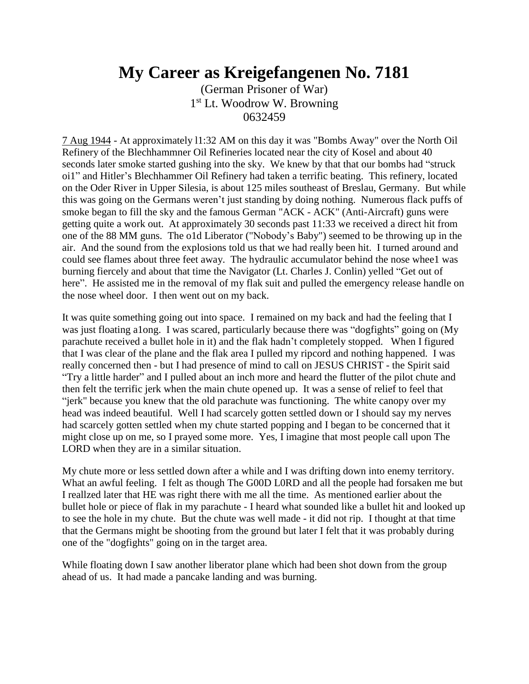## **My Career as Kreigefangenen No. 7181**

(German Prisoner of War) 1<sup>st</sup> Lt. Woodrow W. Browning 0632459

7 Aug 1944 - At approximately l1:32 AM on this day it was "Bombs Away" over the North Oil Refinery of the Blechhammner Oil Refineries located near the city of Kosel and about 40 seconds later smoke started gushing into the sky. We knew by that that our bombs had "struck oi1" and Hitler's Blechhammer Oil Refinery had taken a terrific beating. This refinery, located on the Oder River in Upper Silesia, is about 125 miles southeast of Breslau, Germany. But while this was going on the Germans weren't just standing by doing nothing. Numerous flack puffs of smoke began to fill the sky and the famous German "ACK - ACK" (Anti-Aircraft) guns were getting quite a work out. At approximately 30 seconds past 11:33 we received a direct hit from one of the 88 MM guns. The o1d Liberator ("Nobody's Baby") seemed to be throwing up in the air. And the sound from the explosions told us that we had really been hit. I turned around and could see flames about three feet away. The hydraulic accumulator behind the nose whee1 was burning fiercely and about that time the Navigator (Lt. Charles J. Conlin) yelled "Get out of here". He assisted me in the removal of my flak suit and pulled the emergency release handle on the nose wheel door. I then went out on my back.

It was quite something going out into space. I remained on my back and had the feeling that I was just floating a1ong. I was scared, particularly because there was "dogfights" going on (My parachute received a bullet hole in it) and the flak hadn't completely stopped. When I figured that I was clear of the plane and the flak area I pulled my ripcord and nothing happened. I was really concerned then - but I had presence of mind to call on JESUS CHRIST - the Spirit said "Try a little harder" and I pulled about an inch more and heard the flutter of the pilot chute and then felt the terrific jerk when the main chute opened up. It was a sense of relief to feel that "jerk" because you knew that the old parachute was functioning. The white canopy over my head was indeed beautiful. Well I had scarcely gotten settled down or I should say my nerves had scarcely gotten settled when my chute started popping and I began to be concerned that it might close up on me, so I prayed some more. Yes, I imagine that most people call upon The LORD when they are in a similar situation.

My chute more or less settled down after a while and I was drifting down into enemy territory. What an awful feeling. I felt as though The G00D L0RD and all the people had forsaken me but I reallzed later that HE was right there with me all the time. As mentioned earlier about the bullet hole or piece of flak in my parachute - I heard what sounded like a bullet hit and looked up to see the hole in my chute. But the chute was well made - it did not rip. I thought at that time that the Germans might be shooting from the ground but later I felt that it was probably during one of the "dogfights" going on in the target area.

While floating down I saw another liberator plane which had been shot down from the group ahead of us. It had made a pancake landing and was burning.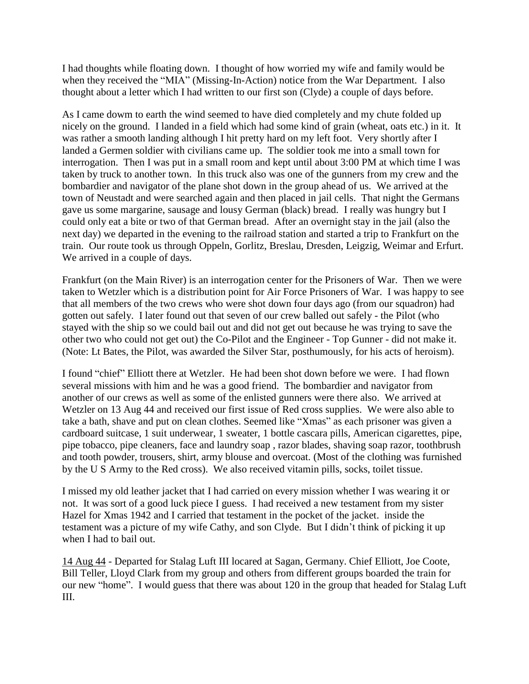I had thoughts while floating down. I thought of how worried my wife and family would be when they received the "MIA" (Missing-In-Action) notice from the War Department. I also thought about a letter which I had written to our first son (Clyde) a couple of days before.

As I came dowm to earth the wind seemed to have died completely and my chute folded up nicely on the ground. I landed in a field which had some kind of grain (wheat, oats etc.) in it. It was rather a smooth landing although I hit pretty hard on my left foot. Very shortly after I landed a Germen soldier with civilians came up. The soldier took me into a small town for interrogation. Then I was put in a small room and kept until about 3:00 PM at which time I was taken by truck to another town. In this truck also was one of the gunners from my crew and the bombardier and navigator of the plane shot down in the group ahead of us. We arrived at the town of Neustadt and were searched again and then placed in jail cells. That night the Germans gave us some margarine, sausage and lousy German (black) bread. I really was hungry but I could only eat a bite or two of that German bread. After an overnight stay in the jail (also the next day) we departed in the evening to the railroad station and started a trip to Frankfurt on the train. Our route took us through Oppeln, Gorlitz, Breslau, Dresden, Leigzig, Weimar and Erfurt. We arrived in a couple of days.

Frankfurt (on the Main River) is an interrogation center for the Prisoners of War. Then we were taken to Wetzler which is a distribution point for Air Force Prisoners of War. I was happy to see that all members of the two crews who were shot down four days ago (from our squadron) had gotten out safely. I later found out that seven of our crew balled out safely - the Pilot (who stayed with the ship so we could bail out and did not get out because he was trying to save the other two who could not get out) the Co-Pilot and the Engineer - Top Gunner - did not make it. (Note: Lt Bates, the Pilot, was awarded the Silver Star, posthumously, for his acts of heroism).

I found "chief" Elliott there at Wetzler. He had been shot down before we were. I had flown several missions with him and he was a good friend. The bombardier and navigator from another of our crews as well as some of the enlisted gunners were there also. We arrived at Wetzler on 13 Aug 44 and received our first issue of Red cross supplies. We were also able to take a bath, shave and put on clean clothes. Seemed like "Xmas" as each prisoner was given a cardboard suitcase, 1 suit underwear, 1 sweater, 1 bottle cascara pills, American cigarettes, pipe, pipe tobacco, pipe cleaners, face and laundry soap , razor blades, shaving soap razor, toothbrush and tooth powder, trousers, shirt, army blouse and overcoat. (Most of the clothing was furnished by the U S Army to the Red cross). We also received vitamin pills, socks, toilet tissue.

I missed my old leather jacket that I had carried on every mission whether I was wearing it or not. It was sort of a good luck piece I guess. I had received a new testament from my sister Hazel for Xmas 1942 and I carried that testament in the pocket of the jacket. inside the testament was a picture of my wife Cathy, and son Clyde. But I didn't think of picking it up when I had to bail out.

14 Aug 44 - Departed for Stalag Luft III locared at Sagan, Germany. Chief Elliott, Joe Coote, Bill Teller, Lloyd Clark from my group and others from different groups boarded the train for our new "home". I would guess that there was about 120 in the group that headed for Stalag Luft III.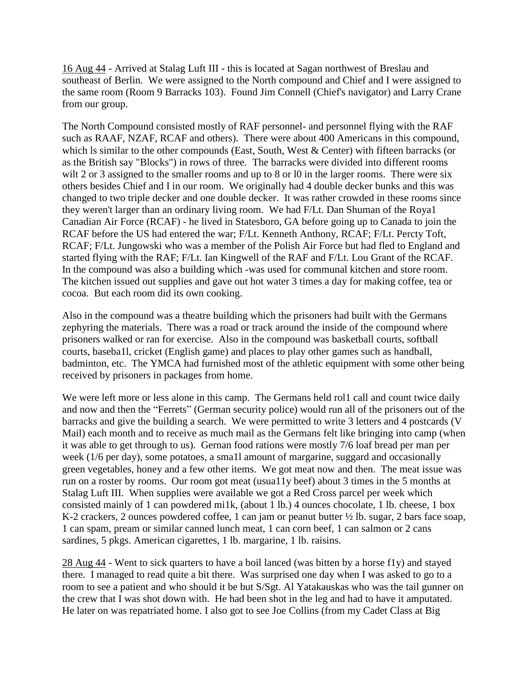16 Aug 44 - Arrived at Stalag Luft III - this is located at Sagan northwest of Breslau and southeast of Berlin. We were assigned to the North compound and Chief and I were assigned to the same room (Room 9 Barracks 103). Found Jim Connell (Chief's navigator) and Larry Crane from our group.

The North Compound consisted mostly of RAF personnel- and personnel flying with the RAF such as RAAF, NZAF, RCAF and others). There were about 400 Americans in this compound, which ls similar to the other compounds (East, South, West & Center) with fifteen barracks (or as the British say "Blocks") in rows of three. The barracks were divided into different rooms wilt 2 or 3 assigned to the smaller rooms and up to 8 or 10 in the larger rooms. There were six others besides Chief and I in our room. We originally had 4 double decker bunks and this was changed to two triple decker and one double decker. It was rather crowded in these rooms since they weren't larger than an ordinary living room. We had F/Lt. Dan Shuman of the Roya1 Canadian Air Force (RCAF) - he lived in Statesboro, GA before going up to Canada to join the RCAF before the US had entered the war; F/Lt. Kenneth Anthony, RCAF; F/Lt. Percty Toft, RCAF; F/Lt. Jungowski who was a member of the Polish Air Force but had fled to England and started flying with the RAF; F/Lt. Ian Kingwell of the RAF and F/Lt. Lou Grant of the RCAF. In the compound was also a building which -was used for communal kitchen and store room. The kitchen issued out supplies and gave out hot water 3 times a day for making coffee, tea or cocoa. But each room did its own cooking.

Also in the compound was a theatre building which the prisoners had built with the Germans zephyring the materials. There was a road or track around the inside of the compound where prisoners walked or ran for exercise. Also in the compound was basketball courts, softball courts, baseba1l, cricket (English game) and places to play other games such as handball, badminton, etc. The YMCA had furnished most of the athletic equipment with some other being received by prisoners in packages from home.

We were left more or less alone in this camp. The Germans held rol1 call and count twice daily and now and then the "Ferrets" (German security police) would run all of the prisoners out of the barracks and give the building a search. We were permitted to write 3 letters and 4 postcards (V Mail) each month and to receive as much mail as the Germans felt like bringing into camp (when it was able to get through to us). Gernan food rations were mostly 7/6 loaf bread per man per week (1/6 per day), some potatoes, a sma1l amount of margarine, suggard and occasionally green vegetables, honey and a few other items. We got meat now and then. The meat issue was run on a roster by rooms. Our room got meat (usua11y beef) about 3 times in the 5 months at Stalag Luft III. When supplies were available we got a Red Cross parcel per week which consisted mainly of 1 can powdered mi1k, (about 1 lb.) 4 ounces chocolate, 1 lb. cheese, 1 box K-2 crackers, 2 ounces powdered coffee, 1 can jam or peanut butter ½ lb. sugar, 2 bars face soap, 1 can spam, pream or similar canned lunch meat, 1 can corn beef, 1 can salmon or 2 cans sardines, 5 pkgs. American cigarettes, 1 lb. margarine, 1 lb. raisins.

28 Aug 44 - Went to sick quarters to have a boil lanced (was bitten by a horse f1y) and stayed there. I managed to read quite a bit there. Was surprised one day when I was asked to go to a room to see a patient and who should it be but S/Sgt. Al Yatakauskas who was the tail gunner on the crew that I was shot down with. He had been shot in the leg and had to have it amputated. He later on was repatriated home. I also got to see Joe Collins (from my Cadet Class at Big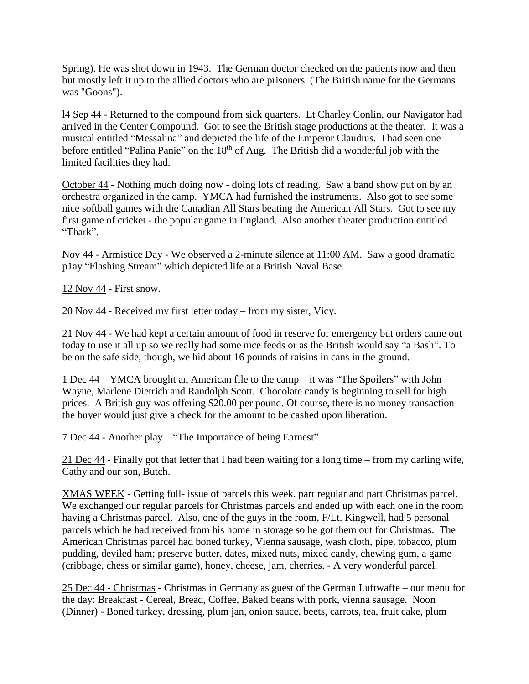Spring). He was shot down in 1943. The German doctor checked on the patients now and then but mostly left it up to the allied doctors who are prisoners. (The British name for the Germans was "Goons").

l4 Sep 44 - Returned to the compound from sick quarters. Lt Charley Conlin, our Navigator had arrived in the Center Compound. Got to see the British stage productions at the theater. It was a musical entitled "Messalina" and depicted the life of the Emperor Claudius. I had seen one before entitled "Palina Panie" on the 18<sup>th</sup> of Aug. The British did a wonderful job with the limited facilities they had.

October 44 - Nothing much doing now - doing lots of reading. Saw a band show put on by an orchestra organized in the camp. YMCA had furnished the instruments. Also got to see some nice softball games with the Canadian All Stars beating the American All Stars. Got to see my first game of cricket - the popular game in England. Also another theater production entitled "Thark".

Nov 44 - Armistice Day - We observed a 2-minute silence at 11:00 AM. Saw a good dramatic p1ay "Flashing Stream" which depicted life at a British Naval Base.

12 Nov 44 - First snow.

20 Nov 44 - Received my first letter today – from my sister, Vicy.

21 Nov 44 - We had kept a certain amount of food in reserve for emergency but orders came out today to use it all up so we really had some nice feeds or as the British would say "a Bash". To be on the safe side, though, we hid about 16 pounds of raisins in cans in the ground.

1 Dec 44 – YMCA brought an American file to the camp – it was "The Spoilers" with John Wayne, Marlene Dietrich and Randolph Scott. Chocolate candy is beginning to sell for high prices. A British guy was offering \$20.00 per pound. Of course, there is no money transaction – the buyer would just give a check for the amount to be cashed upon liberation.

7 Dec 44 - Another play – "The Importance of being Earnest".

21 Dec 44 - Finally got that letter that I had been waiting for a long time – from my darling wife, Cathy and our son, Butch.

XMAS WEEK - Getting full- issue of parcels this week. part regular and part Christmas parcel. We exchanged our regular parcels for Christmas parcels and ended up with each one in the room having a Christmas parcel. Also, one of the guys in the room, F/Lt. Kingwell, had 5 personal parcels which he had received from his home in storage so he got them out for Christmas. The American Christmas parcel had boned turkey, Vienna sausage, wash cloth, pipe, tobacco, plum pudding, deviled ham; preserve butter, dates, mixed nuts, mixed candy, chewing gum, a game (cribbage, chess or similar game), honey, cheese, jam, cherries. - A very wonderful parcel.

25 Dec 44 - Christmas - Christmas in Germany as guest of the German Luftwaffe – our menu for the day: Breakfast - Cereal, Bread, Coffee, Baked beans with pork, vienna sausage. Noon (Dinner) - Boned turkey, dressing, plum jan, onion sauce, beets, carrots, tea, fruit cake, plum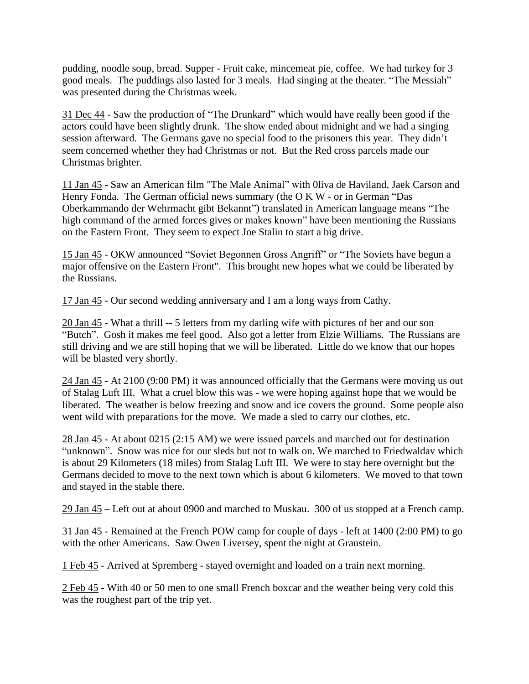pudding, noodle soup, bread. Supper - Fruit cake, mincemeat pie, coffee. We had turkey for 3 good meals. The puddings also lasted for 3 meals. Had singing at the theater. "The Messiah" was presented during the Christmas week.

31 Dec 44 - Saw the production of "The Drunkard" which would have really been good if the actors could have been slightly drunk. The show ended about midnight and we had a singing session afterward. The Germans gave no special food to the prisoners this year. They didn't seem concerned whether they had Christmas or not. But the Red cross parcels made our Christmas brighter.

11 Jan 45 - Saw an American film "The Male Animal" with 0liva de Haviland, Jaek Carson and Henry Fonda. The German official news summary (the O K W - or in German "Das Oberkammando der Wehrmacht gibt Bekannt") translated in American language means "The high command of the armed forces gives or makes known" have been mentioning the Russians on the Eastern Front. They seem to expect Joe Stalin to start a big drive.

15 Jan 45 - OKW announced "Soviet Begonnen Gross Angriff" or "The Soviets have begun a major offensive on the Eastern Front". This brought new hopes what we could be liberated by the Russians.

17 Jan 45 - Our second wedding anniversary and I am a long ways from Cathy.

20 Jan 45 - What a thrill -- 5 letters from my darling wife with pictures of her and our son "Butch". Gosh it makes me feel good. Also got a letter from Elzie Williams. The Russians are still driving and we are still hoping that we will be liberated. Little do we know that our hopes will be blasted very shortly.

24 Jan 45 - At 2100 (9:00 PM) it was announced officially that the Germans were moving us out of Stalag Luft III. What a cruel blow this was - we were hoping against hope that we would be liberated. The weather is below freezing and snow and ice covers the ground. Some people also went wild with preparations for the move. We made a sled to carry our clothes, etc.

28 Jan 45 - At about 0215 (2:15 AM) we were issued parcels and marched out for destination "unknown". Snow was nice for our sleds but not to walk on. We marched to Friedwaldav which is about 29 Kilometers (18 miles) from Stalag Luft III. We were to stay here overnight but the Germans decided to move to the next town which is about 6 kilometers. We moved to that town and stayed in the stable there.

29 Jan 45 – Left out at about 0900 and marched to Muskau. 300 of us stopped at a French camp.

31 Jan 45 - Remained at the French POW camp for couple of days - left at 1400 (2:00 PM) to go with the other Americans. Saw Owen Liversey, spent the night at Graustein.

1 Feb 45 - Arrived at Spremberg - stayed overnight and loaded on a train next morning.

2 Feb 45 - With 40 or 50 men to one small French boxcar and the weather being very cold this was the roughest part of the trip yet.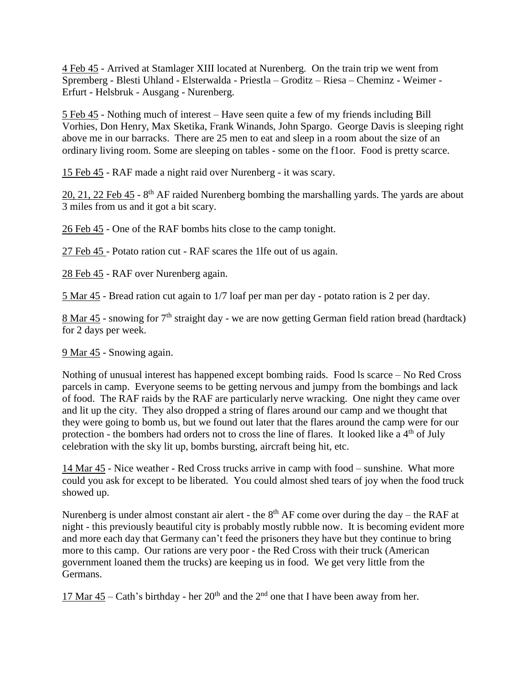4 Feb 45 - Arrived at Stamlager XIII located at Nurenberg. On the train trip we went from Spremberg - Blesti Uhland - Elsterwalda - Priestla – Groditz – Riesa – Cheminz - Weimer - Erfurt - Helsbruk - Ausgang - Nurenberg.

5 Feb 45 - Nothing much of interest – Have seen quite a few of my friends including Bill Vorhies, Don Henry, Max Sketika, Frank Winands, John Spargo. George Davis is sleeping right above me in our barracks. There are 25 men to eat and sleep in a room about the size of an ordinary living room. Some are sleeping on tables - some on the f1oor. Food is pretty scarce.

15 Feb 45 - RAF made a night raid over Nurenberg - it was scary.

 $20, 21, 22$  Feb  $45$  -  $8$ <sup>th</sup> AF raided Nurenberg bombing the marshalling yards. The yards are about 3 miles from us and it got a bit scary.

26 Feb 45 - One of the RAF bombs hits close to the camp tonight.

27 Feb 45 - Potato ration cut - RAF scares the 1lfe out of us again.

28 Feb 45 - RAF over Nurenberg again.

5 Mar 45 - Bread ration cut again to 1/7 loaf per man per day - potato ration is 2 per day.

8 Mar 45 - snowing for  $7<sup>th</sup>$  straight day - we are now getting German field ration bread (hardtack) for 2 days per week.

9 Mar 45 - Snowing again.

Nothing of unusual interest has happened except bombing raids. Food ls scarce – No Red Cross parcels in camp. Everyone seems to be getting nervous and jumpy from the bombings and lack of food. The RAF raids by the RAF are particularly nerve wracking. One night they came over and lit up the city. They also dropped a string of flares around our camp and we thought that they were going to bomb us, but we found out later that the flares around the camp were for our protection - the bombers had orders not to cross the line of flares. It looked like a  $4<sup>th</sup>$  of July celebration with the sky lit up, bombs bursting, aircraft being hit, etc.

14 Mar 45 - Nice weather - Red Cross trucks arrive in camp with food – sunshine. What more could you ask for except to be liberated. You could almost shed tears of joy when the food truck showed up.

Nurenberg is under almost constant air alert - the  $8<sup>th</sup> AF$  come over during the day – the RAF at night - this previously beautiful city is probably mostly rubble now. It is becoming evident more and more each day that Germany can't feed the prisoners they have but they continue to bring more to this camp. Our rations are very poor - the Red Cross with their truck (American government loaned them the trucks) are keeping us in food. We get very little from the Germans.

17 Mar  $45 - \text{Cath's birthday - her } 20^{\text{th}}$  and the  $2^{\text{nd}}$  one that I have been away from her.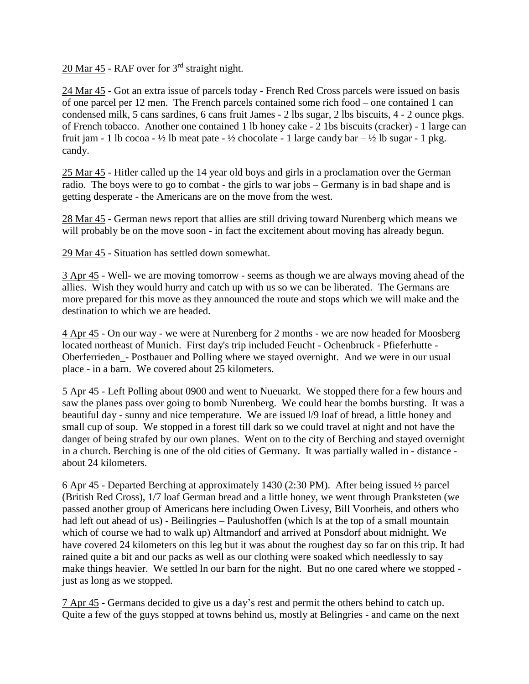20 Mar 45 - RAF over for 3rd straight night.

24 Mar 45 - Got an extra issue of parcels today - French Red Cross parcels were issued on basis of one parcel per 12 men. The French parcels contained some rich food – one contained 1 can condensed milk, 5 cans sardines, 6 cans fruit James - 2 lbs sugar, 2 lbs biscuits, 4 - 2 ounce pkgs. of French tobacco. Another one contained 1 lb honey cake - 2 1bs biscuits (cracker) - 1 large can fruit jam - 1 lb cocoa - ½ lb meat pate - ½ chocolate - 1 large candy bar  $-$  ½ lb sugar - 1 pkg. candy.

25 Mar 45 - Hitler called up the 14 year old boys and girls in a proclamation over the German radio. The boys were to go to combat - the girls to war jobs – Germany is in bad shape and is getting desperate - the Americans are on the move from the west.

28 Mar 45 - German news report that allies are still driving toward Nurenberg which means we will probably be on the move soon - in fact the excitement about moving has already begun.

29 Mar 45 - Situation has settled down somewhat.

3 Apr 45 - Well- we are moving tomorrow - seems as though we are always moving ahead of the allies. Wish they would hurry and catch up with us so we can be liberated. The Germans are more prepared for this move as they announced the route and stops which we will make and the destination to which we are headed.

4 Apr 45 - On our way - we were at Nurenberg for 2 months - we are now headed for Moosberg located northeast of Munich. First day's trip included Feucht - Ochenbruck - Pfieferhutte - Oberferrieden\_- Postbauer and Polling where we stayed overnight. And we were in our usual place - in a barn. We covered about 25 kilometers.

5 Apr 45 - Left Polling about 0900 and went to Nueuarkt. We stopped there for a few hours and saw the planes pass over going to bomb Nurenberg. We could hear the bombs bursting. It was a beautiful day - sunny and nice temperature. We are issued l/9 loaf of bread, a little honey and small cup of soup. We stopped in a forest till dark so we could travel at night and not have the danger of being strafed by our own planes. Went on to the city of Berching and stayed overnight in a church. Berching is one of the old cities of Germany. It was partially walled in - distance about 24 kilometers.

6 Apr 45 - Departed Berching at approximately 1430 (2:30 PM). After being issued ½ parcel (British Red Cross), 1/7 loaf German bread and a little honey, we went through Pranksteten (we passed another group of Americans here including Owen Livesy, Bill Voorheis, and others who had left out ahead of us) - Beilingries – Paulushoffen (which ls at the top of a small mountain which of course we had to walk up) Altmandorf and arrived at Ponsdorf about midnight. We have covered 24 kilometers on this leg but it was about the roughest day so far on this trip. It had rained quite a bit and our packs as well as our clothing were soaked which needlessly to say make things heavier. We settled ln our barn for the night. But no one cared where we stopped just as long as we stopped.

7 Apr 45 - Germans decided to give us a day's rest and permit the others behind to catch up. Quite a few of the guys stopped at towns behind us, mostly at Belingries - and came on the next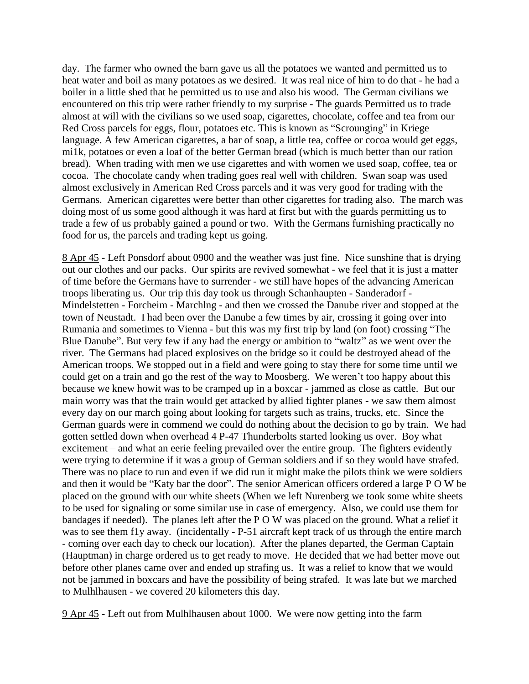day. The farmer who owned the barn gave us all the potatoes we wanted and permitted us to heat water and boil as many potatoes as we desired. It was real nice of him to do that - he had a boiler in a little shed that he permitted us to use and also his wood. The German civilians we encountered on this trip were rather friendly to my surprise - The guards Permitted us to trade almost at will with the civilians so we used soap, cigarettes, chocolate, coffee and tea from our Red Cross parcels for eggs, flour, potatoes etc. This is known as "Scrounging" in Kriege language. A few American cigarettes, a bar of soap, a little tea, coffee or cocoa would get eggs, mi1k, potatoes or even a loaf of the better German bread (which is much better than our ration bread). When trading with men we use cigarettes and with women we used soap, coffee, tea or cocoa. The chocolate candy when trading goes real well with children. Swan soap was used almost exclusively in American Red Cross parcels and it was very good for trading with the Germans. American cigarettes were better than other cigarettes for trading also. The march was doing most of us some good although it was hard at first but with the guards permitting us to trade a few of us probably gained a pound or two. With the Germans furnishing practically no food for us, the parcels and trading kept us going.

8 Apr 45 - Left Ponsdorf about 0900 and the weather was just fine. Nice sunshine that is drying out our clothes and our packs. Our spirits are revived somewhat - we feel that it is just a matter of time before the Germans have to surrender - we still have hopes of the advancing American troops liberating us. Our trip this day took us through Schanhaupten - Sanderadorf - Mindelstetten - Forcheim - Marchlng - and then we crossed the Danube river and stopped at the town of Neustadt. I had been over the Danube a few times by air, crossing it going over into Rumania and sometimes to Vienna - but this was my first trip by land (on foot) crossing "The Blue Danube". But very few if any had the energy or ambition to "waltz" as we went over the river. The Germans had placed explosives on the bridge so it could be destroyed ahead of the American troops. We stopped out in a field and were going to stay there for some time until we could get on a train and go the rest of the way to Moosberg. We weren't too happy about this because we knew howit was to be cramped up in a boxcar - jammed as close as cattle. But our main worry was that the train would get attacked by allied fighter planes - we saw them almost every day on our march going about looking for targets such as trains, trucks, etc. Since the German guards were in commend we could do nothing about the decision to go by train. We had gotten settled down when overhead 4 P-47 Thunderbolts started looking us over. Boy what excitement – and what an eerie feeling prevailed over the entire group. The fighters evidently were trying to determine if it was a group of German soldiers and if so they would have strafed. There was no place to run and even if we did run it might make the pilots think we were soldiers and then it would be "Katy bar the door". The senior American officers ordered a large P O W be placed on the ground with our white sheets (When we left Nurenberg we took some white sheets to be used for signaling or some similar use in case of emergency. Also, we could use them for bandages if needed). The planes left after the P O W was placed on the ground. What a relief it was to see them f1y away. (incidentally - P-51 aircraft kept track of us through the entire march - coming over each day to check our location). After the planes departed, the German Captain (Hauptman) in charge ordered us to get ready to move. He decided that we had better move out before other planes came over and ended up strafing us. It was a relief to know that we would not be jammed in boxcars and have the possibility of being strafed. It was late but we marched to Mulhlhausen - we covered 20 kilometers this day.

9 Apr 45 - Left out from Mulhlhausen about 1000. We were now getting into the farm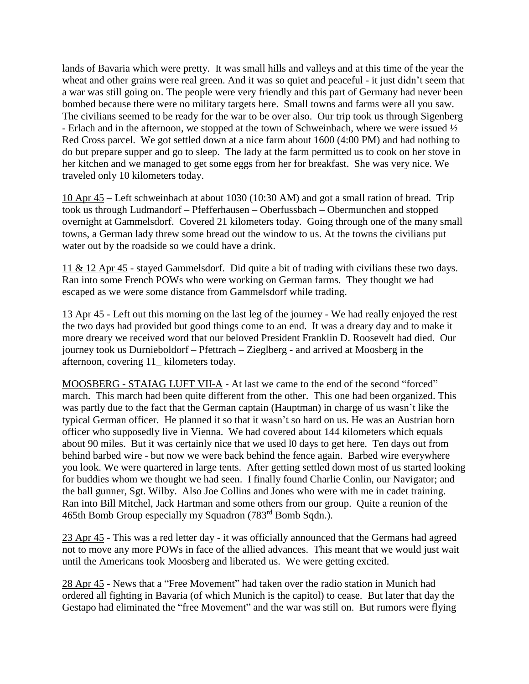lands of Bavaria which were pretty. It was small hills and valleys and at this time of the year the wheat and other grains were real green. And it was so quiet and peaceful - it just didn't seem that a war was still going on. The people were very friendly and this part of Germany had never been bombed because there were no military targets here. Small towns and farms were all you saw. The civilians seemed to be ready for the war to be over also. Our trip took us through Sigenberg - Erlach and in the afternoon, we stopped at the town of Schweinbach, where we were issued ½ Red Cross parcel. We got settled down at a nice farm about 1600 (4:00 PM) and had nothing to do but prepare supper and go to sleep. The lady at the farm permitted us to cook on her stove in her kitchen and we managed to get some eggs from her for breakfast. She was very nice. We traveled only 10 kilometers today.

10 Apr 45 – Left schweinbach at about 1030 (10:30 AM) and got a small ration of bread. Trip took us through Ludmandorf – Pfefferhausen – Oberfussbach – Obermunchen and stopped overnight at Gammelsdorf. Covered 21 kilometers today. Going through one of the many small towns, a German lady threw some bread out the window to us. At the towns the civilians put water out by the roadside so we could have a drink.

11 & 12 Apr 45 - stayed Gammelsdorf. Did quite a bit of trading with civilians these two days. Ran into some French POWs who were working on German farms. They thought we had escaped as we were some distance from Gammelsdorf while trading.

13 Apr 45 - Left out this morning on the last leg of the journey - We had really enjoyed the rest the two days had provided but good things come to an end. It was a dreary day and to make it more dreary we received word that our beloved President Franklin D. Roosevelt had died. Our journey took us Durnieboldorf – Pfettrach – Zieglberg - and arrived at Moosberg in the afternoon, covering 11\_ kilometers today.

MOOSBERG - STAIAG LUFT VII-A - At last we came to the end of the second "forced" march. This march had been quite different from the other. This one had been organized. This was partly due to the fact that the German captain (Hauptman) in charge of us wasn't like the typical German officer. He planned it so that it wasn't so hard on us. He was an Austrian born officer who supposedly live in Vienna. We had covered about 144 kilometers which equals about 90 miles. But it was certainly nice that we used l0 days to get here. Ten days out from behind barbed wire - but now we were back behind the fence again. Barbed wire everywhere you look. We were quartered in large tents. After getting settled down most of us started looking for buddies whom we thought we had seen. I finally found Charlie Conlin, our Navigator; and the ball gunner, Sgt. Wilby. Also Joe Collins and Jones who were with me in cadet training. Ran into Bill Mitchel, Jack Hartman and some others from our group. Quite a reunion of the 465th Bomb Group especially my Squadron (783rd Bomb Sqdn.).

23 Apr 45 - This was a red letter day - it was officially announced that the Germans had agreed not to move any more POWs in face of the allied advances. This meant that we would just wait until the Americans took Moosberg and liberated us. We were getting excited.

28 Apr 45 - News that a "Free Movement" had taken over the radio station in Munich had ordered all fighting in Bavaria (of which Munich is the capitol) to cease. But later that day the Gestapo had eliminated the "free Movement" and the war was still on. But rumors were flying